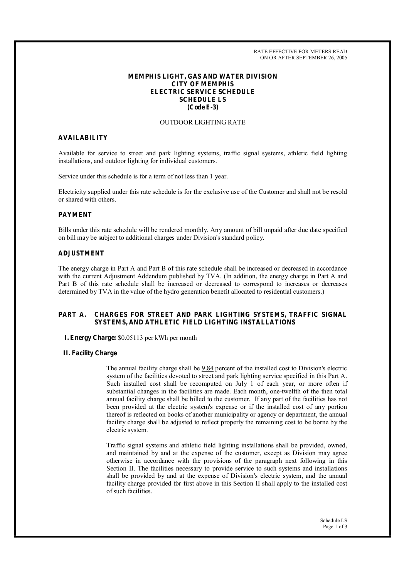RATE EFFECTIVE FOR METERS READ ON OR AFTER SEPTEMBER 26, 2005

## **MEMPHIS LIGHT, GAS AND WATER DIVISION CITY OF MEMPHIS ELECTRIC SERVICE SCHEDULE SCHEDULE LS (Code E-3)**

## OUTDOOR LIGHTING RATE

#### **AVAILABILITY**

Available for service to street and park lighting systems, traffic signal systems, athletic field lighting installations, and outdoor lighting for individual customers.

Service under this schedule is for a term of not less than 1 year.

Electricity supplied under this rate schedule is for the exclusive use of the Customer and shall not be resold or shared with others.

# **PAYMENT**

Bills under this rate schedule will be rendered monthly. Any amount of bill unpaid after due date specified on bill may be subject to additional charges under Division's standard policy.

#### **ADJUSTMENT**

The energy charge in Part A and Part B of this rate schedule shall be increased or decreased in accordance with the current Adjustment Addendum published by TVA. (In addition, the energy charge in Part A and Part B of this rate schedule shall be increased or decreased to correspond to increases or decreases determined by TVA in the value of the hydro generation benefit allocated to residential customers.)

## **PART A. CHARGES FOR STREET AND PARK LIGHTING SYSTEMS, TRAFFIC SIGNAL SYSTEMS, AND ATHLETIC FIELD LIGHTING INSTALLATIONS**

#### **I. Energy Charge:** \$0.05113 per kWh per month

#### **II. Facility Charge**

The annual facility charge shall be 9.84 percent of the installed cost to Division's electric system of the facilities devoted to street and park lighting service specified in this Part A. Such installed cost shall be recomputed on July 1 of each year, or more often if substantial changes in the facilities are made. Each month, one-twelfth of the then total annual facility charge shall be billed to the customer. If any part of the facilities has not been provided at the electric system's expense or if the installed cost of any portion thereof is reflected on books of another municipality or agency or department, the annual facility charge shall be adjusted to reflect properly the remaining cost to be borne by the electric system.

Traffic signal systems and athletic field lighting installations shall be provided, owned, and maintained by and at the expense of the customer, except as Division may agree otherwise in accordance with the provisions of the paragraph next following in this Section II. The facilities necessary to provide service to such systems and installations shall be provided by and at the expense of Division's electric system, and the annual facility charge provided for first above in this Section II shall apply to the installed cost ofsuch facilities.

> Schedule LS Page 1 of 3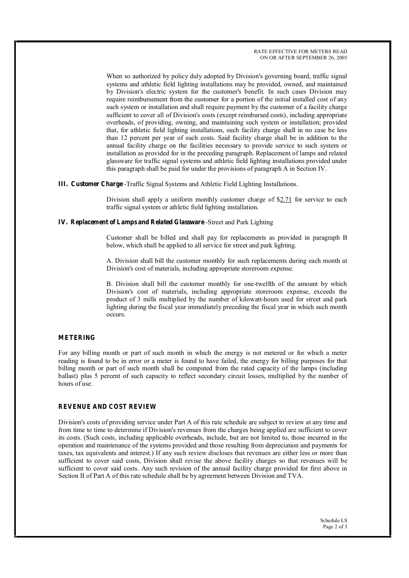When so authorized by policy duly adopted by Division's governing board, traffic signal systems and athletic field lighting installations may be provided, owned, and maintained by Division's electric system for the customer's benefit. In such cases Division may require reimbursement from the customer for a portion of the initial installed cost of any such system or installation and shall require payment by the customer of a facility charge sufficient to cover all of Division's costs (except reimbursed costs), including appropriate overheads, of providing, owning, and maintaining such system or installation; provided that, for athletic field lighting installations, such facility charge shall in no case be less than 12 percent per year of such costs. Said facility charge shall be in addition to the annual facility charge on the facilities necessary to provide service to such system or installation as provided for in the preceding paragraph. Replacement of lamps and related glassware for traffic signal systems and athletic field lighting installations provided under this paragraph shall be paid for under the provisions of paragraph A in Section IV.

**III. Customer Charge** -Traffic Signal Systems and Athletic Field Lighting Installations.

Division shall apply a uniform monthly customer charge of \$2.71 for service to each traffic signal system or athletic field lighting installation.

## **IV. Replacement of Lamps and Related Glassware** -Street and Park Lighting

Customer shall be billed and shall pay for replacements as provided in paragraph B below, which shall be applied to all service for street and park lighting.

A. Division shall bill the customer monthly for such replacements during each month at Division's cost of materials, including appropriate storeroom expense.

B. Division shall bill the customer monthly for one-twelfth of the amount by which Division's cost of materials, including appropriate storeroom expense, exceeds the product of 3 mills multiplied by the number of kilowatt-hours used for street and park lighting during the fiscal year immediately preceding the fiscal year in which such month occurs.

## **METERING**

For any billing month or part of such month in which the energy is not metered or for which a meter reading is found to be in error or a meter is found to have failed, the energy for billing purposes for that billing month or part of such month shall be computed from the rated capacity of the lamps (including ballast) plus 5 percent of such capacity to reflect secondary circuit losses, multiplied by the number of hours of use.

#### **REVENUE AND COST REVIEW**

Division's costs of providing service under Part A of this rate schedule are subject to review at any time and from time to time to determine if Division's revenues from the charges being applied are sufficient to cover its costs. (Such costs, including applicable overheads, include, but are not limited to, those incurred in the operation and maintenance of the systems provided and those resulting from depreciation and payments for taxes, tax equivalents and interest.) If any such review discloses that revenues are either less or more than sufficient to cover said costs, Division shall revise the above facility charges so that revenues will be sufficient to cover said costs. Any such revision of the annual facility charge provided for first above in Section II of Part A of this rate schedule shall be by agreement between Division and TVA.